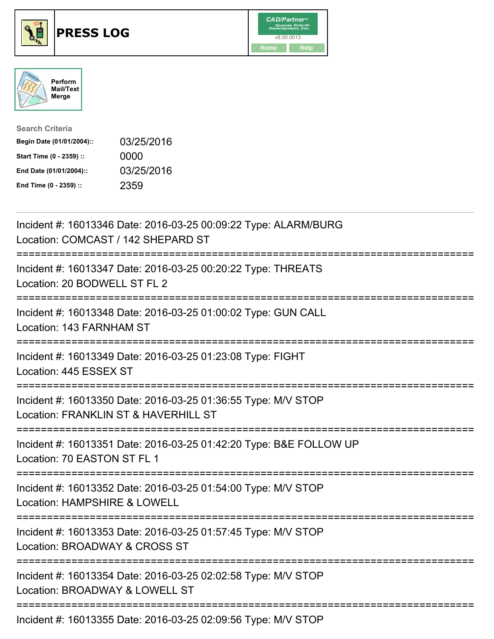





| <b>Search Criteria</b>    |            |
|---------------------------|------------|
| Begin Date (01/01/2004):: | 03/25/2016 |
| Start Time (0 - 2359) ::  | 0000       |
| End Date (01/01/2004)::   | 03/25/2016 |
| End Time (0 - 2359) ::    | 2359       |

| Incident #: 16013346 Date: 2016-03-25 00:09:22 Type: ALARM/BURG<br>Location: COMCAST / 142 SHEPARD ST                             |
|-----------------------------------------------------------------------------------------------------------------------------------|
| Incident #: 16013347 Date: 2016-03-25 00:20:22 Type: THREATS<br>Location: 20 BODWELL ST FL 2                                      |
| Incident #: 16013348 Date: 2016-03-25 01:00:02 Type: GUN CALL<br>Location: 143 FARNHAM ST<br>===============                      |
| Incident #: 16013349 Date: 2016-03-25 01:23:08 Type: FIGHT<br>Location: 445 ESSEX ST<br>===============                           |
| Incident #: 16013350 Date: 2016-03-25 01:36:55 Type: M/V STOP<br>Location: FRANKLIN ST & HAVERHILL ST<br>:======================= |
| Incident #: 16013351 Date: 2016-03-25 01:42:20 Type: B&E FOLLOW UP<br>Location: 70 EASTON ST FL 1                                 |
| Incident #: 16013352 Date: 2016-03-25 01:54:00 Type: M/V STOP<br>Location: HAMPSHIRE & LOWELL<br>=========================        |
| Incident #: 16013353 Date: 2016-03-25 01:57:45 Type: M/V STOP<br>Location: BROADWAY & CROSS ST                                    |
| Incident #: 16013354 Date: 2016-03-25 02:02:58 Type: M/V STOP<br>Location: BROADWAY & LOWELL ST                                   |
| Incident #: 16013355 Date: 2016-03-25 02:09:56 Type: M/V STOP                                                                     |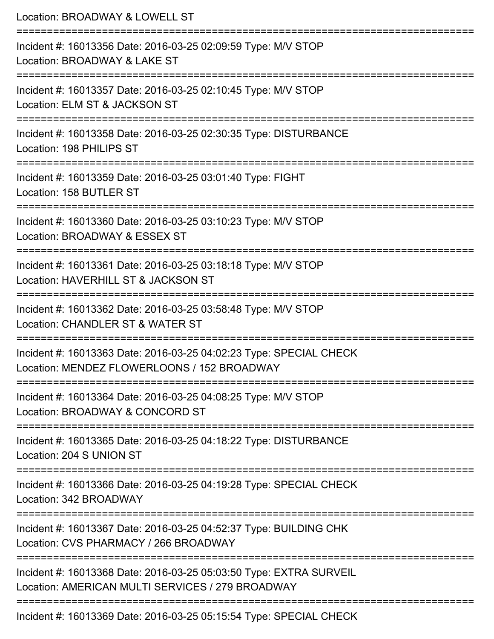| Location: BROADWAY & LOWELL ST                                                                                                                            |
|-----------------------------------------------------------------------------------------------------------------------------------------------------------|
| Incident #: 16013356 Date: 2016-03-25 02:09:59 Type: M/V STOP<br>Location: BROADWAY & LAKE ST<br>:================================                        |
| Incident #: 16013357 Date: 2016-03-25 02:10:45 Type: M/V STOP<br>Location: ELM ST & JACKSON ST                                                            |
| Incident #: 16013358 Date: 2016-03-25 02:30:35 Type: DISTURBANCE<br>Location: 198 PHILIPS ST                                                              |
| Incident #: 16013359 Date: 2016-03-25 03:01:40 Type: FIGHT<br>Location: 158 BUTLER ST                                                                     |
| Incident #: 16013360 Date: 2016-03-25 03:10:23 Type: M/V STOP<br>Location: BROADWAY & ESSEX ST                                                            |
| ===============================<br>--------------<br>Incident #: 16013361 Date: 2016-03-25 03:18:18 Type: M/V STOP<br>Location: HAVERHILL ST & JACKSON ST |
| Incident #: 16013362 Date: 2016-03-25 03:58:48 Type: M/V STOP<br>Location: CHANDLER ST & WATER ST                                                         |
| Incident #: 16013363 Date: 2016-03-25 04:02:23 Type: SPECIAL CHECK<br>Location: MENDEZ FLOWERLOONS / 152 BROADWAY                                         |
| ----------------------------<br>Incident #: 16013364 Date: 2016-03-25 04:08:25 Type: M/V STOP<br>Location: BROADWAY & CONCORD ST                          |
| Incident #: 16013365 Date: 2016-03-25 04:18:22 Type: DISTURBANCE<br>Location: 204 S UNION ST                                                              |
| Incident #: 16013366 Date: 2016-03-25 04:19:28 Type: SPECIAL CHECK<br>Location: 342 BROADWAY                                                              |
| Incident #: 16013367 Date: 2016-03-25 04:52:37 Type: BUILDING CHK<br>Location: CVS PHARMACY / 266 BROADWAY                                                |
| Incident #: 16013368 Date: 2016-03-25 05:03:50 Type: EXTRA SURVEIL<br>Location: AMERICAN MULTI SERVICES / 279 BROADWAY                                    |
| ---------------<br>Incident #: 16013369 Date: 2016-03-25 05:15:54 Type: SPECIAL CHECK                                                                     |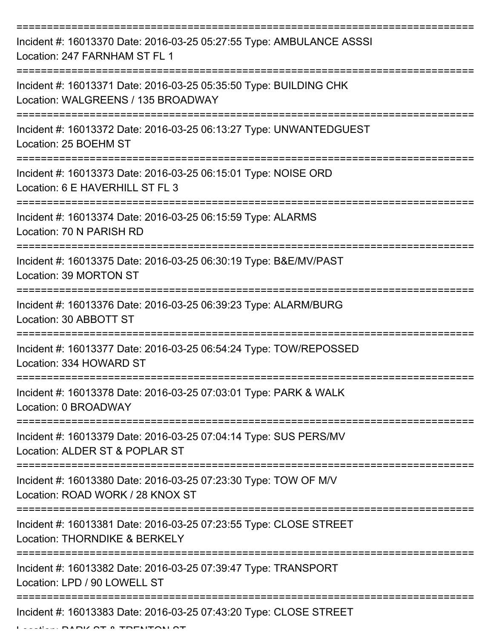| Incident #: 16013370 Date: 2016-03-25 05:27:55 Type: AMBULANCE ASSSI<br>Location: 247 FARNHAM ST FL 1     |
|-----------------------------------------------------------------------------------------------------------|
| Incident #: 16013371 Date: 2016-03-25 05:35:50 Type: BUILDING CHK<br>Location: WALGREENS / 135 BROADWAY   |
| Incident #: 16013372 Date: 2016-03-25 06:13:27 Type: UNWANTEDGUEST<br>Location: 25 BOEHM ST               |
| Incident #: 16013373 Date: 2016-03-25 06:15:01 Type: NOISE ORD<br>Location: 6 E HAVERHILL ST FL 3         |
| Incident #: 16013374 Date: 2016-03-25 06:15:59 Type: ALARMS<br>Location: 70 N PARISH RD                   |
| Incident #: 16013375 Date: 2016-03-25 06:30:19 Type: B&E/MV/PAST<br>Location: 39 MORTON ST                |
| Incident #: 16013376 Date: 2016-03-25 06:39:23 Type: ALARM/BURG<br>Location: 30 ABBOTT ST                 |
| Incident #: 16013377 Date: 2016-03-25 06:54:24 Type: TOW/REPOSSED<br>Location: 334 HOWARD ST              |
| Incident #: 16013378 Date: 2016-03-25 07:03:01 Type: PARK & WALK<br>Location: 0 BROADWAY<br>------------- |
| Incident #: 16013379 Date: 2016-03-25 07:04:14 Type: SUS PERS/MV<br>Location: ALDER ST & POPLAR ST        |
| Incident #: 16013380 Date: 2016-03-25 07:23:30 Type: TOW OF M/V<br>Location: ROAD WORK / 28 KNOX ST       |
| Incident #: 16013381 Date: 2016-03-25 07:23:55 Type: CLOSE STREET<br>Location: THORNDIKE & BERKELY        |
| Incident #: 16013382 Date: 2016-03-25 07:39:47 Type: TRANSPORT<br>Location: LPD / 90 LOWELL ST            |
| Incident #: 16013383 Date: 2016-03-25 07:43:20 Type: CLOSE STREET                                         |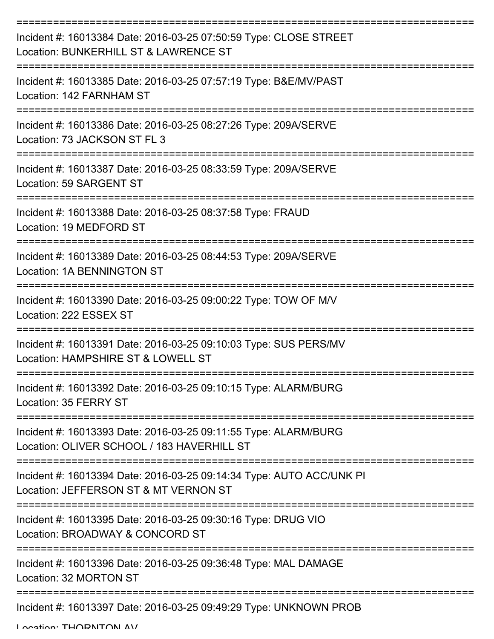| Incident #: 16013384 Date: 2016-03-25 07:50:59 Type: CLOSE STREET<br>Location: BUNKERHILL ST & LAWRENCE ST    |
|---------------------------------------------------------------------------------------------------------------|
| Incident #: 16013385 Date: 2016-03-25 07:57:19 Type: B&E/MV/PAST<br>Location: 142 FARNHAM ST                  |
| Incident #: 16013386 Date: 2016-03-25 08:27:26 Type: 209A/SERVE<br>Location: 73 JACKSON ST FL 3               |
| Incident #: 16013387 Date: 2016-03-25 08:33:59 Type: 209A/SERVE<br>Location: 59 SARGENT ST                    |
| Incident #: 16013388 Date: 2016-03-25 08:37:58 Type: FRAUD<br>Location: 19 MEDFORD ST                         |
| Incident #: 16013389 Date: 2016-03-25 08:44:53 Type: 209A/SERVE<br>Location: 1A BENNINGTON ST                 |
| Incident #: 16013390 Date: 2016-03-25 09:00:22 Type: TOW OF M/V<br>Location: 222 ESSEX ST                     |
| Incident #: 16013391 Date: 2016-03-25 09:10:03 Type: SUS PERS/MV<br>Location: HAMPSHIRE ST & LOWELL ST        |
| Incident #: 16013392 Date: 2016-03-25 09:10:15 Type: ALARM/BURG<br>Location: 35 FERRY ST                      |
| Incident #: 16013393 Date: 2016-03-25 09:11:55 Type: ALARM/BURG<br>Location: OLIVER SCHOOL / 183 HAVERHILL ST |
| Incident #: 16013394 Date: 2016-03-25 09:14:34 Type: AUTO ACC/UNK PI<br>Location: JEFFERSON ST & MT VERNON ST |
| Incident #: 16013395 Date: 2016-03-25 09:30:16 Type: DRUG VIO<br>Location: BROADWAY & CONCORD ST              |
| Incident #: 16013396 Date: 2016-03-25 09:36:48 Type: MAL DAMAGE<br>Location: 32 MORTON ST                     |
| Incident #: 16013397 Date: 2016-03-25 09:49:29 Type: UNKNOWN PROB                                             |

Location: THORNTON AV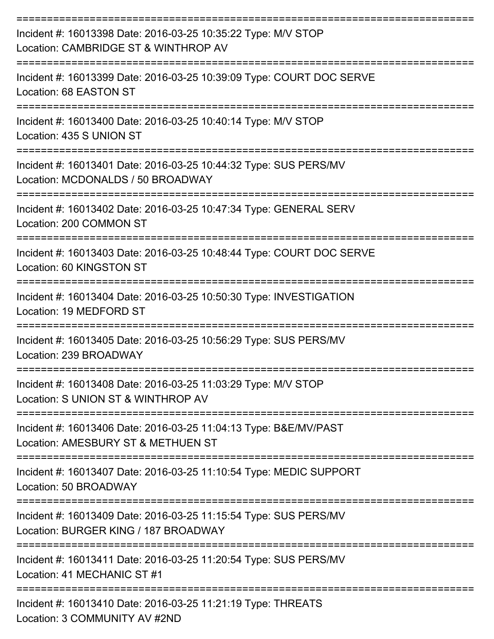| Incident #: 16013398 Date: 2016-03-25 10:35:22 Type: M/V STOP<br>Location: CAMBRIDGE ST & WINTHROP AV                                |
|--------------------------------------------------------------------------------------------------------------------------------------|
| Incident #: 16013399 Date: 2016-03-25 10:39:09 Type: COURT DOC SERVE<br>Location: 68 EASTON ST                                       |
| Incident #: 16013400 Date: 2016-03-25 10:40:14 Type: M/V STOP<br>Location: 435 S UNION ST                                            |
| Incident #: 16013401 Date: 2016-03-25 10:44:32 Type: SUS PERS/MV<br>Location: MCDONALDS / 50 BROADWAY                                |
| Incident #: 16013402 Date: 2016-03-25 10:47:34 Type: GENERAL SERV<br>Location: 200 COMMON ST                                         |
| Incident #: 16013403 Date: 2016-03-25 10:48:44 Type: COURT DOC SERVE<br>Location: 60 KINGSTON ST                                     |
| Incident #: 16013404 Date: 2016-03-25 10:50:30 Type: INVESTIGATION<br>Location: 19 MEDFORD ST                                        |
| Incident #: 16013405 Date: 2016-03-25 10:56:29 Type: SUS PERS/MV<br>Location: 239 BROADWAY                                           |
| Incident #: 16013408 Date: 2016-03-25 11:03:29 Type: M/V STOP<br>Location: S UNION ST & WINTHROP AV                                  |
| Incident #: 16013406 Date: 2016-03-25 11:04:13 Type: B&E/MV/PAST<br>Location: AMESBURY ST & METHUEN ST                               |
| Incident #: 16013407 Date: 2016-03-25 11:10:54 Type: MEDIC SUPPORT<br>Location: 50 BROADWAY                                          |
| ========================<br>Incident #: 16013409 Date: 2016-03-25 11:15:54 Type: SUS PERS/MV<br>Location: BURGER KING / 187 BROADWAY |
| Incident #: 16013411 Date: 2016-03-25 11:20:54 Type: SUS PERS/MV<br>Location: 41 MECHANIC ST #1                                      |
| Incident #: 16013410 Date: 2016-03-25 11:21:19 Type: THREATS<br>Location: 3 COMMUNITY AV #2ND                                        |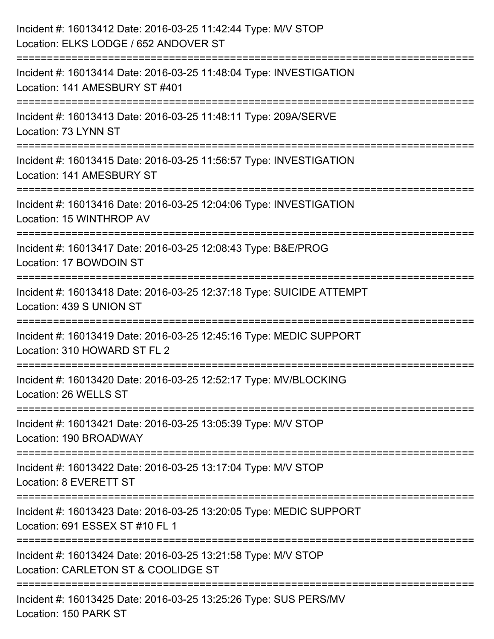| Incident #: 16013412 Date: 2016-03-25 11:42:44 Type: M/V STOP<br>Location: ELKS LODGE / 652 ANDOVER ST                              |
|-------------------------------------------------------------------------------------------------------------------------------------|
| ===========================<br>Incident #: 16013414 Date: 2016-03-25 11:48:04 Type: INVESTIGATION<br>Location: 141 AMESBURY ST #401 |
| Incident #: 16013413 Date: 2016-03-25 11:48:11 Type: 209A/SERVE<br>Location: 73 LYNN ST<br>=============================            |
| Incident #: 16013415 Date: 2016-03-25 11:56:57 Type: INVESTIGATION<br>Location: 141 AMESBURY ST                                     |
| Incident #: 16013416 Date: 2016-03-25 12:04:06 Type: INVESTIGATION<br>Location: 15 WINTHROP AV                                      |
| Incident #: 16013417 Date: 2016-03-25 12:08:43 Type: B&E/PROG<br>Location: 17 BOWDOIN ST                                            |
| Incident #: 16013418 Date: 2016-03-25 12:37:18 Type: SUICIDE ATTEMPT<br>Location: 439 S UNION ST                                    |
| Incident #: 16013419 Date: 2016-03-25 12:45:16 Type: MEDIC SUPPORT<br>Location: 310 HOWARD ST FL 2                                  |
| Incident #: 16013420 Date: 2016-03-25 12:52:17 Type: MV/BLOCKING<br>Location: 26 WELLS ST                                           |
| Incident #: 16013421 Date: 2016-03-25 13:05:39 Type: M/V STOP<br>Location: 190 BROADWAY                                             |
| Incident #: 16013422 Date: 2016-03-25 13:17:04 Type: M/V STOP<br>Location: 8 EVERETT ST                                             |
| Incident #: 16013423 Date: 2016-03-25 13:20:05 Type: MEDIC SUPPORT<br>Location: 691 ESSEX ST #10 FL 1                               |
| Incident #: 16013424 Date: 2016-03-25 13:21:58 Type: M/V STOP<br>Location: CARLETON ST & COOLIDGE ST                                |
| Incident #: 16013425 Date: 2016-03-25 13:25:26 Type: SUS PERS/MV<br>Location: 150 PARK ST                                           |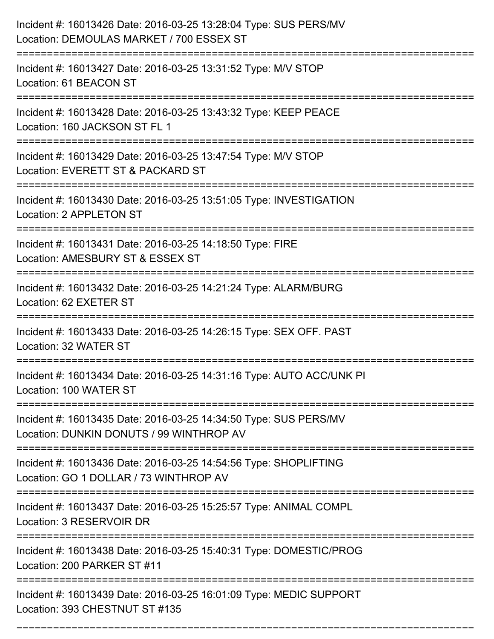| Incident #: 16013426 Date: 2016-03-25 13:28:04 Type: SUS PERS/MV<br>Location: DEMOULAS MARKET / 700 ESSEX ST<br>===================== |
|---------------------------------------------------------------------------------------------------------------------------------------|
| Incident #: 16013427 Date: 2016-03-25 13:31:52 Type: M/V STOP<br>Location: 61 BEACON ST                                               |
| Incident #: 16013428 Date: 2016-03-25 13:43:32 Type: KEEP PEACE<br>Location: 160 JACKSON ST FL 1                                      |
| Incident #: 16013429 Date: 2016-03-25 13:47:54 Type: M/V STOP<br>Location: EVERETT ST & PACKARD ST                                    |
| Incident #: 16013430 Date: 2016-03-25 13:51:05 Type: INVESTIGATION<br>Location: 2 APPLETON ST                                         |
| Incident #: 16013431 Date: 2016-03-25 14:18:50 Type: FIRE<br>Location: AMESBURY ST & ESSEX ST                                         |
| Incident #: 16013432 Date: 2016-03-25 14:21:24 Type: ALARM/BURG<br>Location: 62 EXETER ST<br>=======================                  |
| Incident #: 16013433 Date: 2016-03-25 14:26:15 Type: SEX OFF. PAST<br>Location: 32 WATER ST                                           |
| Incident #: 16013434 Date: 2016-03-25 14:31:16 Type: AUTO ACC/UNK PI<br>Location: 100 WATER ST                                        |
| Incident #: 16013435 Date: 2016-03-25 14:34:50 Type: SUS PERS/MV<br>Location: DUNKIN DONUTS / 99 WINTHROP AV                          |
| Incident #: 16013436 Date: 2016-03-25 14:54:56 Type: SHOPLIFTING<br>Location: GO 1 DOLLAR / 73 WINTHROP AV                            |
| Incident #: 16013437 Date: 2016-03-25 15:25:57 Type: ANIMAL COMPL<br>Location: 3 RESERVOIR DR                                         |
| Incident #: 16013438 Date: 2016-03-25 15:40:31 Type: DOMESTIC/PROG<br>Location: 200 PARKER ST #11                                     |
| Incident #: 16013439 Date: 2016-03-25 16:01:09 Type: MEDIC SUPPORT<br>Location: 393 CHESTNUT ST #135                                  |

===========================================================================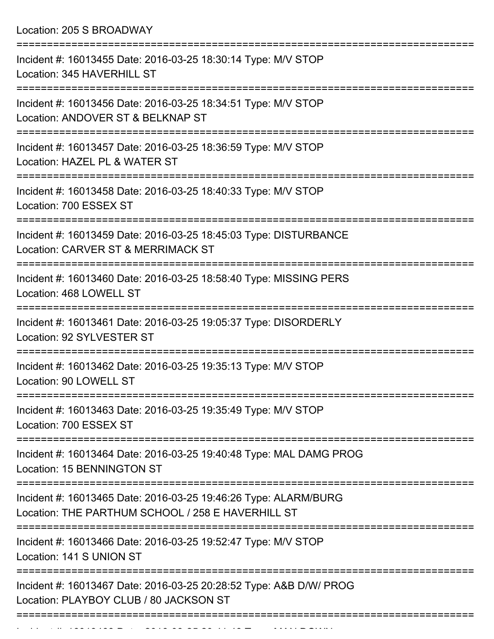Location: 205 S BROADWAY =========================================================================== Incident #: 16013455 Date: 2016-03-25 18:30:14 Type: M/V STOP Location: 345 HAVERHILL ST =========================================================================== Incident #: 16013456 Date: 2016-03-25 18:34:51 Type: M/V STOP Location: ANDOVER ST & BELKNAP ST =========================================================================== Incident #: 16013457 Date: 2016-03-25 18:36:59 Type: M/V STOP Location: HAZEL PL & WATER ST =========================================================================== Incident #: 16013458 Date: 2016-03-25 18:40:33 Type: M/V STOP Location: 700 ESSEX ST =========================================================================== Incident #: 16013459 Date: 2016-03-25 18:45:03 Type: DISTURBANCE Location: CARVER ST & MERRIMACK ST =========================================================================== Incident #: 16013460 Date: 2016-03-25 18:58:40 Type: MISSING PERS Location: 468 LOWELL ST =========================================================================== Incident #: 16013461 Date: 2016-03-25 19:05:37 Type: DISORDERLY Location: 92 SYLVESTER ST =========================================================================== Incident #: 16013462 Date: 2016-03-25 19:35:13 Type: M/V STOP Location: 90 LOWELL ST =========================================================================== Incident #: 16013463 Date: 2016-03-25 19:35:49 Type: M/V STOP Location: 700 ESSEX ST =========================================================================== Incident #: 16013464 Date: 2016-03-25 19:40:48 Type: MAL DAMG PROG Location: 15 BENNINGTON ST =========================================================================== Incident #: 16013465 Date: 2016-03-25 19:46:26 Type: ALARM/BURG Location: THE PARTHUM SCHOOL / 258 F HAVERHILL ST =========================================================================== Incident #: 16013466 Date: 2016-03-25 19:52:47 Type: M/V STOP Location: 141 S UNION ST =========================================================================== Incident #: 16013467 Date: 2016-03-25 20:28:52 Type: A&B D/W/ PROG Location: PLAYBOY CLUB / 80 JACKSON ST ===========================================================================

Incident #: 16013468 Date: 2016 03 25 26 27 28 20:41:48 Type: MAN DOWN DOWN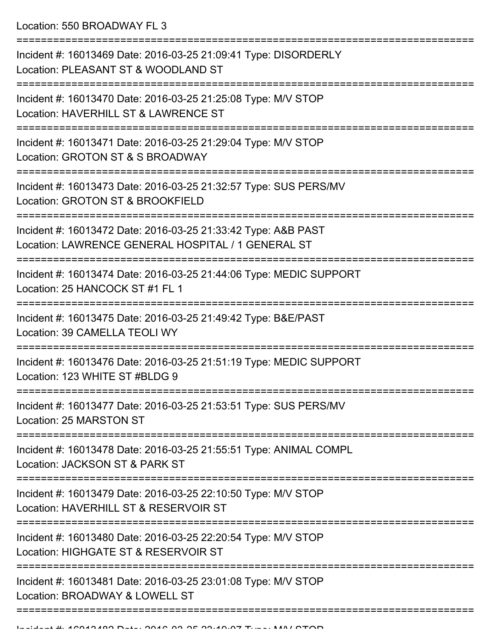Location: 550 BROADWAY FL 3

| Incident #: 16013469 Date: 2016-03-25 21:09:41 Type: DISORDERLY<br>Location: PLEASANT ST & WOODLAND ST              |
|---------------------------------------------------------------------------------------------------------------------|
| Incident #: 16013470 Date: 2016-03-25 21:25:08 Type: M/V STOP<br>Location: HAVERHILL ST & LAWRENCE ST               |
| Incident #: 16013471 Date: 2016-03-25 21:29:04 Type: M/V STOP<br>Location: GROTON ST & S BROADWAY                   |
| Incident #: 16013473 Date: 2016-03-25 21:32:57 Type: SUS PERS/MV<br>Location: GROTON ST & BROOKFIELD                |
| Incident #: 16013472 Date: 2016-03-25 21:33:42 Type: A&B PAST<br>Location: LAWRENCE GENERAL HOSPITAL / 1 GENERAL ST |
| Incident #: 16013474 Date: 2016-03-25 21:44:06 Type: MEDIC SUPPORT<br>Location: 25 HANCOCK ST #1 FL 1               |
| Incident #: 16013475 Date: 2016-03-25 21:49:42 Type: B&E/PAST<br>Location: 39 CAMELLA TEOLI WY                      |
| Incident #: 16013476 Date: 2016-03-25 21:51:19 Type: MEDIC SUPPORT<br>Location: 123 WHITE ST #BLDG 9                |
| Incident #: 16013477 Date: 2016-03-25 21:53:51 Type: SUS PERS/MV<br>Location: 25 MARSTON ST                         |
| Incident #: 16013478 Date: 2016-03-25 21:55:51 Type: ANIMAL COMPL<br>Location: JACKSON ST & PARK ST                 |
| Incident #: 16013479 Date: 2016-03-25 22:10:50 Type: M/V STOP<br>Location: HAVERHILL ST & RESERVOIR ST              |
| Incident #: 16013480 Date: 2016-03-25 22:20:54 Type: M/V STOP<br>Location: HIGHGATE ST & RESERVOIR ST               |
| Incident #: 16013481 Date: 2016-03-25 23:01:08 Type: M/V STOP<br>Location: BROADWAY & LOWELL ST                     |
|                                                                                                                     |